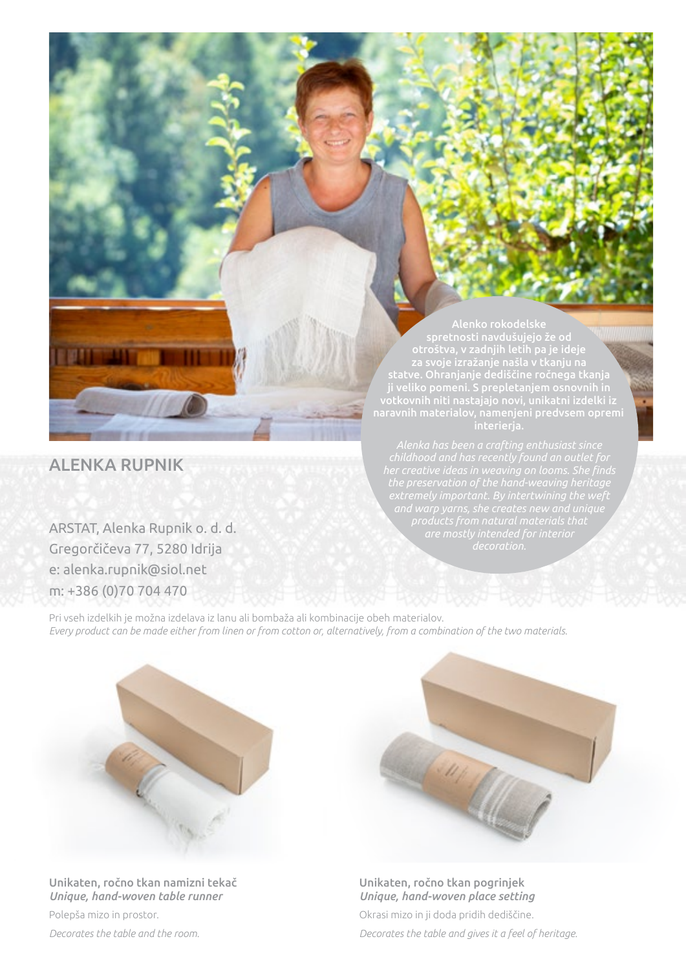ALENKA RUPNIK

ARSTAT, Alenka Rupnik o. d. d. Gregorčičeva 77, 5280 Idrija e: alenka.rupnik@siol.net m: +386 (0)70 704 470

## spretnosti navdušujejo že od statve. Ohranjanje dediščine ročnega tkanja votkovnih niti nastajajo novi, unikatni izdelki iz

Pri vseh izdelkih je možna izdelava iz lanu ali bombaža ali kombinacije obeh materialov. *Every product can be made either from linen or from cotton or, alternatively, from a combination of the two materials.*



Unikaten, ročno tkan namizni tekač *Unique, hand-woven table runner*  Polepša mizo in prostor.

*Decorates the table and the room.*



Okrasi mizo in ji doda pridih dediščine. *Decorates the table and gives it a feel of heritage.* Unikaten, ročno tkan pogrinjek *Unique, hand-woven place setting*